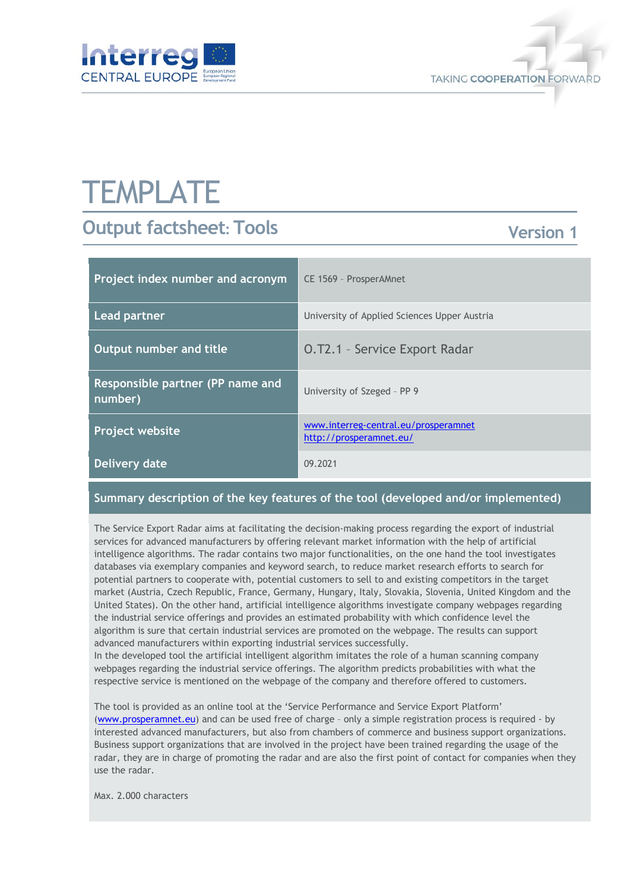



# **TEMPLATE**

# **Output factsheet: Tools**

## **Version 1**

| Project index number and acronym            | CE 1569 - ProsperAMnet                                          |
|---------------------------------------------|-----------------------------------------------------------------|
| <b>Lead partner</b>                         | University of Applied Sciences Upper Austria                    |
| Output number and title                     | <b>O.T2.1 - Service Export Radar</b>                            |
| Responsible partner (PP name and<br>number) | University of Szeged - PP 9                                     |
| Project website                             | www.interreg-central.eu/prosperamnet<br>http://prosperamnet.eu/ |
| Delivery date                               | 09.2021                                                         |

### **Summary description of the key features of the tool (developed and/or implemented)**

The Service Export Radar aims at facilitating the decision-making process regarding the export of industrial services for advanced manufacturers by offering relevant market information with the help of artificial intelligence algorithms. The radar contains two major functionalities, on the one hand the tool investigates databases via exemplary companies and keyword search, to reduce market research efforts to search for potential partners to cooperate with, potential customers to sell to and existing competitors in the target market (Austria, Czech Republic, France, Germany, Hungary, Italy, Slovakia, Slovenia, United Kingdom and the United States). On the other hand, artificial intelligence algorithms investigate company webpages regarding the industrial service offerings and provides an estimated probability with which confidence level the algorithm is sure that certain industrial services are promoted on the webpage. The results can support advanced manufacturers within exporting industrial services successfully.

In the developed tool the artificial intelligent algorithm imitates the role of a human scanning company webpages regarding the industrial service offerings. The algorithm predicts probabilities with what the respective service is mentioned on the webpage of the company and therefore offered to customers.

The tool is provided as an online tool at the 'Service Performance and Service Export Platform' [\(www.prosperamnet.eu\)](http://www.prosperamnet.eu/) and can be used free of charge – only a simple registration process is required - by interested advanced manufacturers, but also from chambers of commerce and business support organizations. Business support organizations that are involved in the project have been trained regarding the usage of the radar, they are in charge of promoting the radar and are also the first point of contact for companies when they use the radar.

Max. 2.000 characters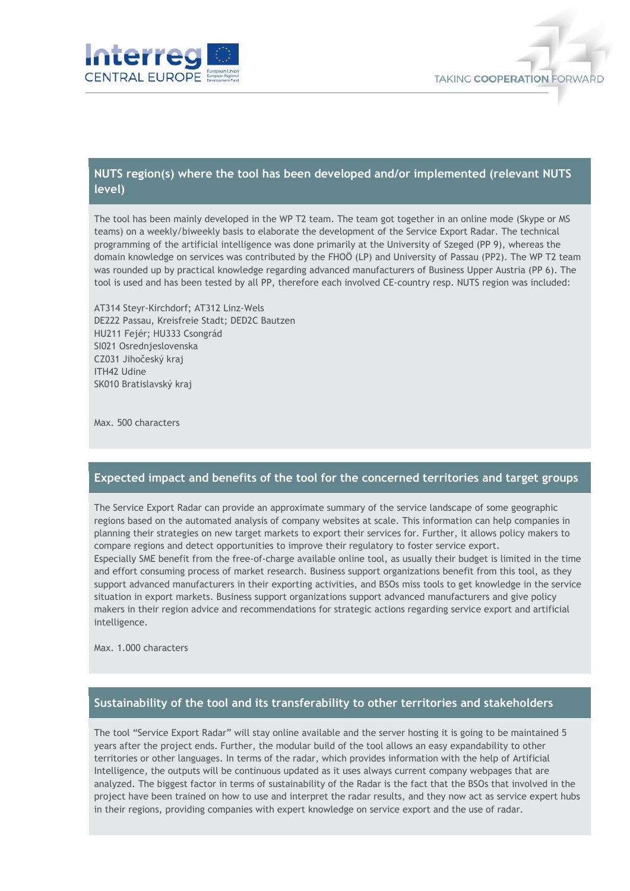



#### **NUTS region(s) where the tool has been developed and/or implemented (relevant NUTS level)**

The tool has been mainly developed in the WP T2 team. The team got together in an online mode (Skype or MS teams) on a weekly/biweekly basis to elaborate the development of the Service Export Radar. The technical programming of the artificial intelligence was done primarily at the University of Szeged (PP 9), whereas the domain knowledge on services was contributed by the FHOÖ (LP) and University of Passau (PP2). The WP T2 team was rounded up by practical knowledge regarding advanced manufacturers of Business Upper Austria (PP 6). The tool is used and has been tested by all PP, therefore each involved CE-country resp. NUTS region was included:

AT314 Steyr-Kirchdorf; AT312 Linz-Wels DE222 Passau, Kreisfreie Stadt; DED2C Bautzen HU211 Fejér; HU333 Csongrád SI021 Osrednjeslovenska CZ031 Jihočeský kraj ITH42 Udine SK010 Bratislavský kraj

Max. 500 characters

#### **Expected impact and benefits of the tool for the concerned territories and target groups**

The Service Export Radar can provide an approximate summary of the service landscape of some geographic regions based on the automated analysis of company websites at scale. This information can help companies in planning their strategies on new target markets to export their services for. Further, it allows policy makers to compare regions and detect opportunities to improve their regulatory to foster service export. Especially SME benefit from the free-of-charge available online tool, as usually their budget is limited in the time and effort consuming process of market research. Business support organizations benefit from this tool, as they support advanced manufacturers in their exporting activities, and BSOs miss tools to get knowledge in the service situation in export markets. Business support organizations support advanced manufacturers and give policy makers in their region advice and recommendations for strategic actions regarding service export and artificial intelligence.

Max. 1.000 characters

#### **Sustainability of the tool and its transferability to other territories and stakeholders**

The tool "Service Export Radar" will stay online available and the server hosting it is going to be maintained 5 years after the project ends. Further, the modular build of the tool allows an easy expandability to other territories or other languages. In terms of the radar, which provides information with the help of Artificial Intelligence, the outputs will be continuous updated as it uses always current company webpages that are analyzed. The biggest factor in terms of sustainability of the Radar is the fact that the BSOs that involved in the project have been trained on how to use and interpret the radar results, and they now act as service expert hubs in their regions, providing companies with expert knowledge on service export and the use of radar.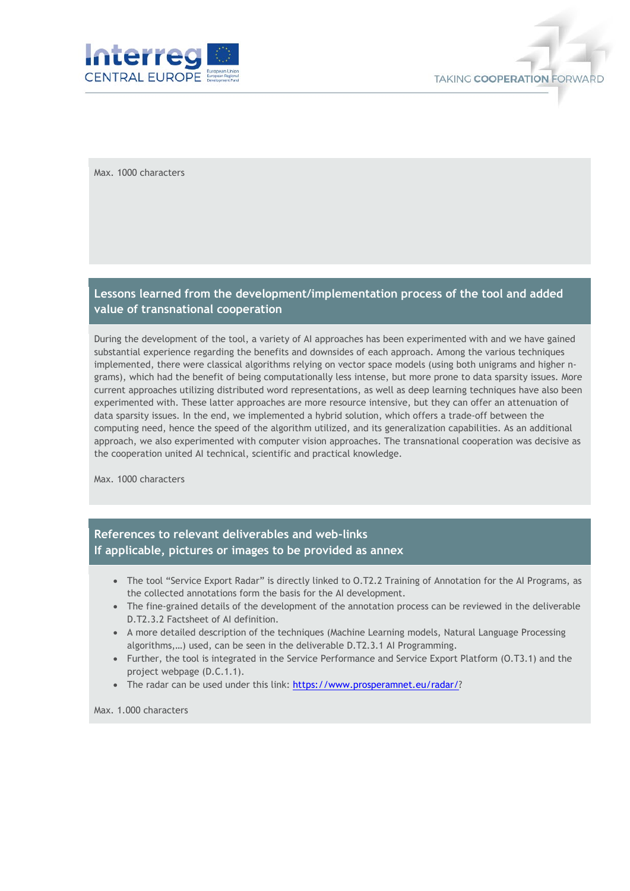

Max. 1000 characters

#### **Lessons learned from the development/implementation process of the tool and added value of transnational cooperation**

During the development of the tool, a variety of AI approaches has been experimented with and we have gained substantial experience regarding the benefits and downsides of each approach. Among the various techniques implemented, there were classical algorithms relying on vector space models (using both unigrams and higher ngrams), which had the benefit of being computationally less intense, but more prone to data sparsity issues. More current approaches utilizing distributed word representations, as well as deep learning techniques have also been experimented with. These latter approaches are more resource intensive, but they can offer an attenuation of data sparsity issues. In the end, we implemented a hybrid solution, which offers a trade-off between the computing need, hence the speed of the algorithm utilized, and its generalization capabilities. As an additional approach, we also experimented with computer vision approaches. The transnational cooperation was decisive as the cooperation united AI technical, scientific and practical knowledge.

Max. 1000 characters

### **References to relevant deliverables and web-links If applicable, pictures or images to be provided as annex**

- The tool "Service Export Radar" is directly linked to O.T2.2 Training of Annotation for the AI Programs, as the collected annotations form the basis for the AI development.
- The fine-grained details of the development of the annotation process can be reviewed in the deliverable D.T2.3.2 Factsheet of AI definition.
- A more detailed description of the techniques (Machine Learning models, Natural Language Processing algorithms,…) used, can be seen in the deliverable D.T2.3.1 AI Programming.
- Further, the tool is integrated in the Service Performance and Service Export Platform (O.T3.1) and the project webpage (D.C.1.1).
- The radar can be used under this link: [https://www.prosperamnet.eu/radar/?](https://www.prosperamnet.eu/radar/)

Max. 1.000 characters